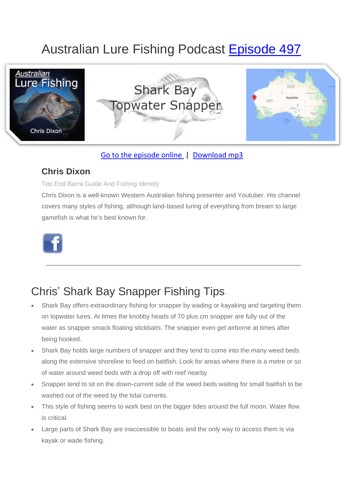# Australian Lure Fishing Podcast [Episode 497](https://doclures.com/daly-river-barramundi-glenn-watt/)



### [Go to the episode online](https://doclures.com/daly-river-barramundi-glenn-watt/) | [Download mp3](https://traffic.libsyn.com/doclures/496-daly-river-barramundi-glenn-watt.mp3)

### **Chris Dixon**

#### Top End Barra Guide And Fishing Identity

Chris Dixon is a well-known Western Australian fishing presenter and Youtuber. His channel covers many styles of fishing, although land-based luring of everything from bream to large gamefish is what he's best known for.

 $\frac{1}{2}$  ,  $\frac{1}{2}$  ,  $\frac{1}{2}$  ,  $\frac{1}{2}$  ,  $\frac{1}{2}$  ,  $\frac{1}{2}$  ,  $\frac{1}{2}$  ,  $\frac{1}{2}$  ,  $\frac{1}{2}$  ,  $\frac{1}{2}$  ,  $\frac{1}{2}$  ,  $\frac{1}{2}$  ,  $\frac{1}{2}$  ,  $\frac{1}{2}$  ,  $\frac{1}{2}$  ,  $\frac{1}{2}$  ,  $\frac{1}{2}$  ,  $\frac{1}{2}$  ,  $\frac{1$ 



### Chris' Shark Bay Snapper Fishing Tips

- Shark Bay offers extraordinary fishing for snapper by wading or kayaking and targeting them on topwater lures. At times the knobby heads of 70 plus cm snapper are fully out of the water as snapper smack floating stickbaits. The snapper even get airborne at times after being hooked.
- Shark Bay holds large numbers of snapper and they tend to come into the many weed beds along the extensive shoreline to feed on baitfish. Look for areas where there is a metre or so of water around weed beds with a drop off with reef nearby.
- Snapper tend to sit on the down-current side of the weed beds waiting for small baitfish to be washed out of the weed by the tidal currents.
- This style of fishing seems to work best on the bigger tides around the full moon. Water flow is critical.
- Large parts of Shark Bay are inaccessible to boats and the only way to access them is via kayak or wade fishing.